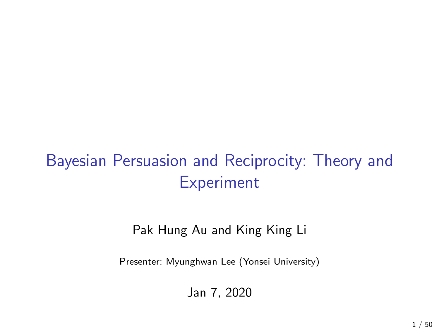# Bayesian Persuasion and Reciprocity: Theory and Experiment

Pak Hung Au and King King Li

Presenter: Myunghwan Lee (Yonsei University)

Jan 7, 2020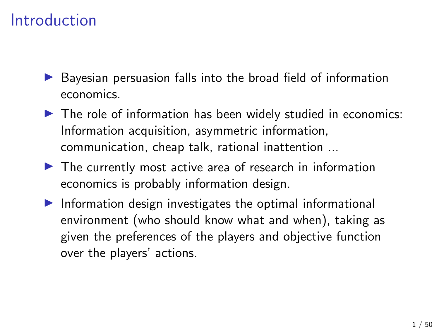### Introduction

- $\triangleright$  Bayesian persuasion falls into the broad field of information economics.
- $\triangleright$  The role of information has been widely studied in economics: Information acquisition, asymmetric information, communication, cheap talk, rational inattention ...
- $\blacktriangleright$  The currently most active area of research in information economics is probably information design.
- $\blacktriangleright$  Information design investigates the optimal informational environment (who should know what and when), taking as given the preferences of the players and objective function over the players' actions.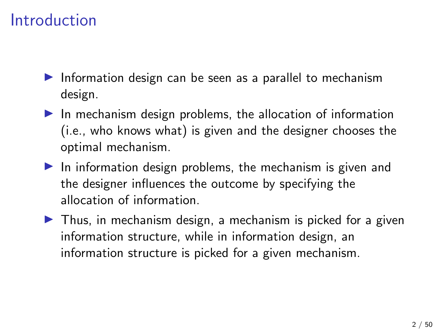## Introduction

- Information design can be seen as a parallel to mechanism design.
- $\blacktriangleright$  In mechanism design problems, the allocation of information (i.e., who knows what) is given and the designer chooses the optimal mechanism.
- $\blacktriangleright$  In information design problems, the mechanism is given and the designer influences the outcome by specifying the allocation of information.
- $\blacktriangleright$  Thus, in mechanism design, a mechanism is picked for a given information structure, while in information design, an information structure is picked for a given mechanism.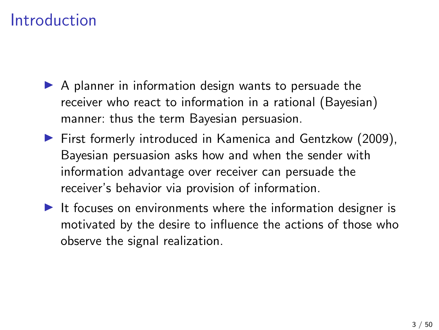### Introduction

- $\triangleright$  A planner in information design wants to persuade the receiver who react to information in a rational (Bayesian) manner: thus the term Bayesian persuasion.
- $\blacktriangleright$  First formerly introduced in Kamenica and Gentzkow (2009), Bayesian persuasion asks how and when the sender with information advantage over receiver can persuade the receiver's behavior via provision of information.
- It focuses on environments where the information designer is motivated by the desire to influence the actions of those who observe the signal realization.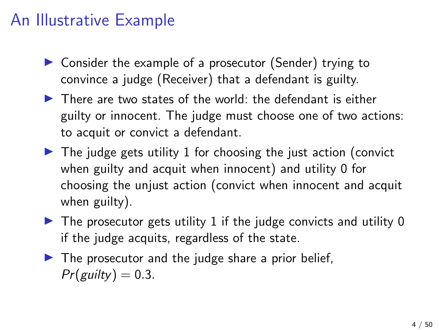- $\triangleright$  Consider the example of a prosecutor (Sender) trying to convince a judge (Receiver) that a defendant is guilty.
- $\blacktriangleright$  There are two states of the world: the defendant is either guilty or innocent. The judge must choose one of two actions: to acquit or convict a defendant.
- $\triangleright$  The judge gets utility 1 for choosing the just action (convict when guilty and acquit when innocent) and utility 0 for choosing the unjust action (convict when innocent and acquit when guilty).
- $\triangleright$  The prosecutor gets utility 1 if the judge convicts and utility 0 if the judge acquits, regardless of the state.
- $\blacktriangleright$  The prosecutor and the judge share a prior belief,  $Pr(gulty) = 0.3$ .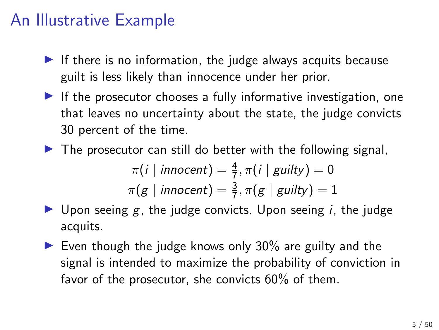- If there is no information, the judge always acquits because guilt is less likely than innocence under her prior.
- $\blacktriangleright$  If the prosecutor chooses a fully informative investigation, one that leaves no uncertainty about the state, the judge convicts 30 percent of the time.
- $\triangleright$  The prosecutor can still do better with the following signal,

$$
\pi(i \mid innocent) = \frac{4}{7}, \pi(i \mid guilty) = 0
$$
  

$$
\pi(g \mid innocent) = \frac{3}{7}, \pi(g \mid guilty) = 1
$$

- **If** Upon seeing g, the judge convicts. Upon seeing i, the judge acquits.
- $\blacktriangleright$  Even though the judge knows only 30% are guilty and the signal is intended to maximize the probability of conviction in favor of the prosecutor, she convicts 60% of them.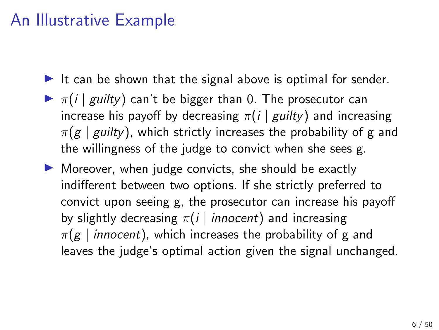- It can be shown that the signal above is optimal for sender.
- $\blacktriangleright \pi(i \mid \text{guilty})$  can't be bigger than 0. The prosecutor can increase his payoff by decreasing  $\pi(i |$  guilty) and increasing  $\pi(g \mid \text{gulty})$ , which strictly increases the probability of g and the willingness of the judge to convict when she sees g.
- $\triangleright$  Moreover, when judge convicts, she should be exactly indifferent between two options. If she strictly preferred to convict upon seeing g, the prosecutor can increase his payoff by slightly decreasing  $\pi(i \mid innocent)$  and increasing  $\pi(g \mid \text{innocent})$ , which increases the probability of g and leaves the judge's optimal action given the signal unchanged.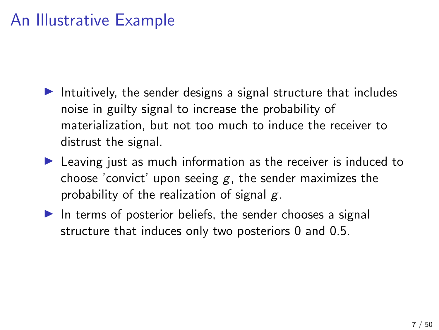- Intuitively, the sender designs a signal structure that includes noise in guilty signal to increase the probability of materialization, but not too much to induce the receiver to distrust the signal.
- $\blacktriangleright$  Leaving just as much information as the receiver is induced to choose 'convict' upon seeing  $g$ , the sender maximizes the probability of the realization of signal  $g$ .
- $\blacktriangleright$  In terms of posterior beliefs, the sender chooses a signal structure that induces only two posteriors 0 and 0.5.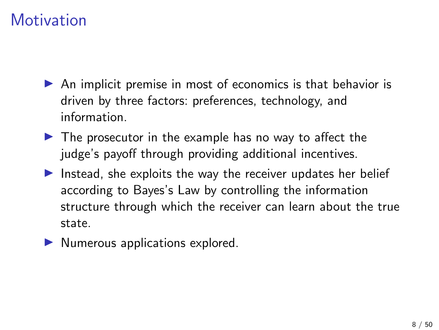- $\triangleright$  An implicit premise in most of economics is that behavior is driven by three factors: preferences, technology, and information.
- $\blacktriangleright$  The prosecutor in the example has no way to affect the judge's payoff through providing additional incentives.
- Instead, she exploits the way the receiver updates her belief according to Bayes's Law by controlling the information structure through which the receiver can learn about the true state.
- $\blacktriangleright$  Numerous applications explored.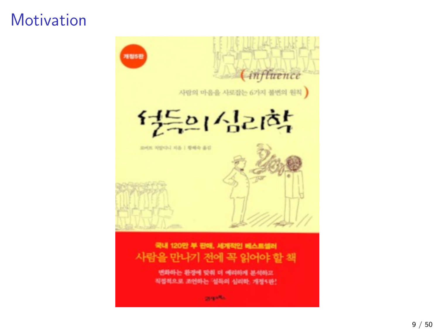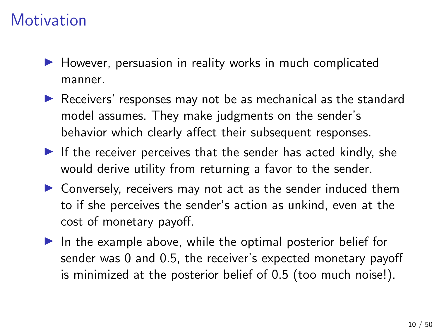- $\blacktriangleright$  However, persuasion in reality works in much complicated manner.
- $\triangleright$  Receivers' responses may not be as mechanical as the standard model assumes. They make judgments on the sender's behavior which clearly affect their subsequent responses.
- If the receiver perceives that the sender has acted kindly, she would derive utility from returning a favor to the sender.
- $\triangleright$  Conversely, receivers may not act as the sender induced them to if she perceives the sender's action as unkind, even at the cost of monetary payoff.
- $\blacktriangleright$  In the example above, while the optimal posterior belief for sender was 0 and 0.5, the receiver's expected monetary payoff is minimized at the posterior belief of 0.5 (too much noise!).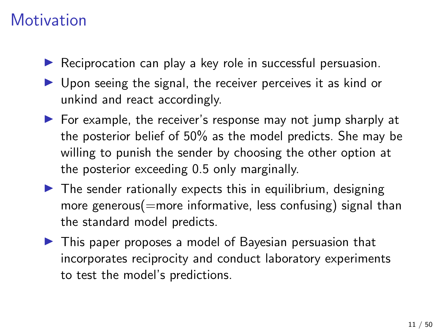- $\blacktriangleright$  Reciprocation can play a key role in successful persuasion.
- $\triangleright$  Upon seeing the signal, the receiver perceives it as kind or unkind and react accordingly.
- $\triangleright$  For example, the receiver's response may not jump sharply at the posterior belief of 50% as the model predicts. She may be willing to punish the sender by choosing the other option at the posterior exceeding 0.5 only marginally.
- $\triangleright$  The sender rationally expects this in equilibrium, designing more generous(=more informative, less confusing) signal than the standard model predicts.
- $\blacktriangleright$  This paper proposes a model of Bayesian persuasion that incorporates reciprocity and conduct laboratory experiments to test the model's predictions.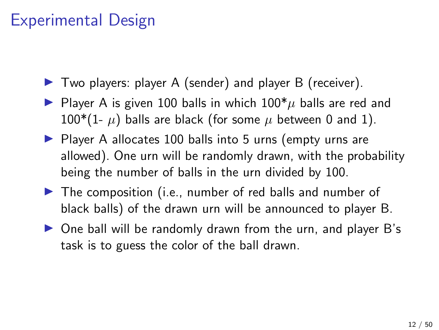## Experimental Design

- $\blacktriangleright$  Two players: player A (sender) and player B (receiver).
- **IF** Player A is given 100 balls in which  $100^* \mu$  balls are red and  $100*(1-\mu)$  balls are black (for some  $\mu$  between 0 and 1).
- $\triangleright$  Player A allocates 100 balls into 5 urns (empty urns are allowed). One urn will be randomly drawn, with the probability being the number of balls in the urn divided by 100.
- $\blacktriangleright$  The composition (i.e., number of red balls and number of black balls) of the drawn urn will be announced to player B.
- $\triangleright$  One ball will be randomly drawn from the urn, and player B's task is to guess the color of the ball drawn.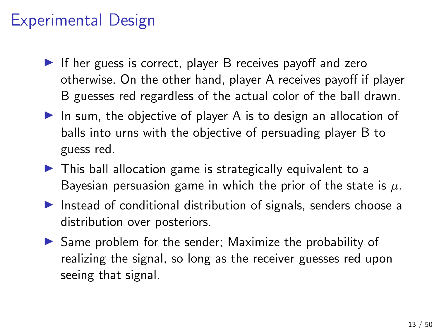### Experimental Design

- If her guess is correct, player B receives payoff and zero otherwise. On the other hand, player A receives payoff if player B guesses red regardless of the actual color of the ball drawn.
- In sum, the objective of player A is to design an allocation of balls into urns with the objective of persuading player B to guess red.
- $\triangleright$  This ball allocation game is strategically equivalent to a Bayesian persuasion game in which the prior of the state is  $\mu$ .
- $\blacktriangleright$  Instead of conditional distribution of signals, senders choose a distribution over posteriors.
- $\triangleright$  Same problem for the sender; Maximize the probability of realizing the signal, so long as the receiver guesses red upon seeing that signal.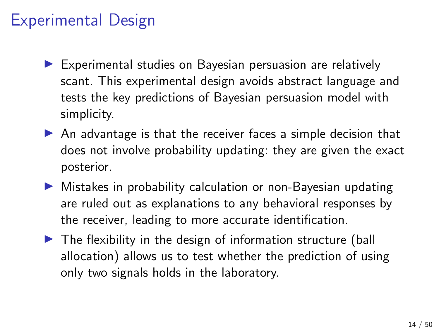## Experimental Design

- $\blacktriangleright$  Experimental studies on Bayesian persuasion are relatively scant. This experimental design avoids abstract language and tests the key predictions of Bayesian persuasion model with simplicity.
- $\triangleright$  An advantage is that the receiver faces a simple decision that does not involve probability updating: they are given the exact posterior.
- $\triangleright$  Mistakes in probability calculation or non-Bayesian updating are ruled out as explanations to any behavioral responses by the receiver, leading to more accurate identification.
- $\blacktriangleright$  The flexibility in the design of information structure (ball allocation) allows us to test whether the prediction of using only two signals holds in the laboratory.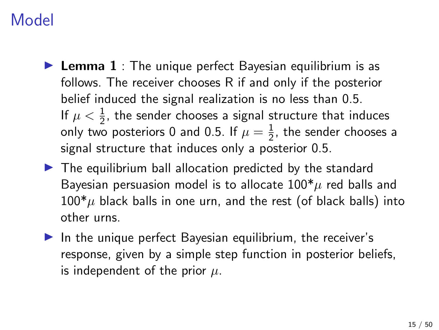- **Lemma 1** : The unique perfect Bayesian equilibrium is as follows. The receiver chooses R if and only if the posterior belief induced the signal realization is no less than 0.5. If  $\mu < \frac{1}{2}$ , the sender chooses a signal structure that induces only two posteriors 0 and 0.5. If  $\mu = \frac{1}{2}$  $\frac{1}{2}$ , the sender chooses a signal structure that induces only a posterior 0.5.
- $\blacktriangleright$  The equilibrium ball allocation predicted by the standard Bayesian persuasion model is to allocate  $100^* \mu$  red balls and  $100^*$ µ black balls in one urn, and the rest (of black balls) into other urns.
- $\blacktriangleright$  In the unique perfect Bayesian equilibrium, the receiver's response, given by a simple step function in posterior beliefs, is independent of the prior  $\mu$ .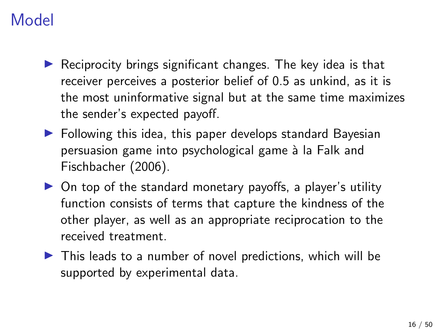- $\triangleright$  Reciprocity brings significant changes. The key idea is that receiver perceives a posterior belief of 0.5 as unkind, as it is the most uninformative signal but at the same time maximizes the sender's expected payoff.
- $\blacktriangleright$  Following this idea, this paper develops standard Bayesian persuasion game into psychological game à la Falk and Fischbacher (2006).
- $\triangleright$  On top of the standard monetary payoffs, a player's utility function consists of terms that capture the kindness of the other player, as well as an appropriate reciprocation to the received treatment.
- $\triangleright$  This leads to a number of novel predictions, which will be supported by experimental data.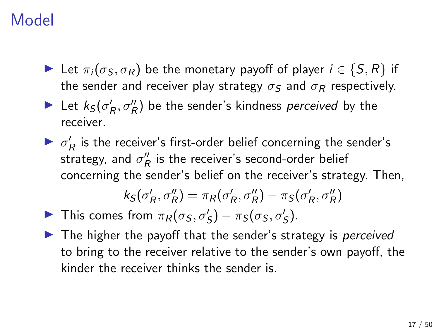- $\triangleright$  Let  $\pi_i(\sigma_S, \sigma_R)$  be the monetary payoff of player  $i \in \{S, R\}$  if the sender and receiver play strategy  $\sigma_S$  and  $\sigma_R$  respectively.
- Let  $k_S(\sigma_R', \sigma_R'')$  be the sender's kindness perceived by the receiver.
- $\blacktriangleright$   $\sigma'_R$  is the receiver's first-order belief concerning the sender's strategy, and  $\sigma_R''$  is the receiver's second-order belief concerning the sender's belief on the receiver's strategy. Then,

$$
k_S(\sigma_R', \sigma_R'') = \pi_R(\sigma_R', \sigma_R'') - \pi_S(\sigma_R', \sigma_R'')
$$

- In This comes from  $\pi_R(\sigma_S, \sigma_S') \pi_S(\sigma_S, \sigma_S')$ .
- $\blacktriangleright$  The higher the payoff that the sender's strategy is *perceived* to bring to the receiver relative to the sender's own payoff, the kinder the receiver thinks the sender is.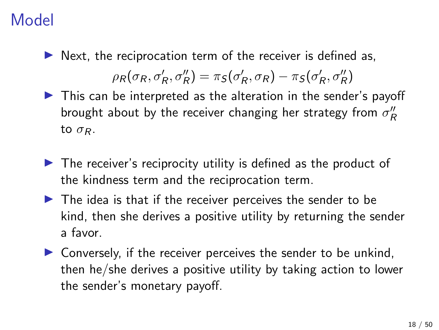$\triangleright$  Next, the reciprocation term of the receiver is defined as,

$$
\rho_R(\sigma_R, \sigma_R', \sigma_R'') = \pi_S(\sigma_R', \sigma_R) - \pi_S(\sigma_R', \sigma_R'')
$$

- $\triangleright$  This can be interpreted as the alteration in the sender's payoff brought about by the receiver changing her strategy from  $\sigma''_R$ to  $\sigma_R$ .
- $\triangleright$  The receiver's reciprocity utility is defined as the product of the kindness term and the reciprocation term.
- $\blacktriangleright$  The idea is that if the receiver perceives the sender to be kind, then she derives a positive utility by returning the sender a favor.
- $\triangleright$  Conversely, if the receiver perceives the sender to be unkind, then he/she derives a positive utility by taking action to lower the sender's monetary payoff.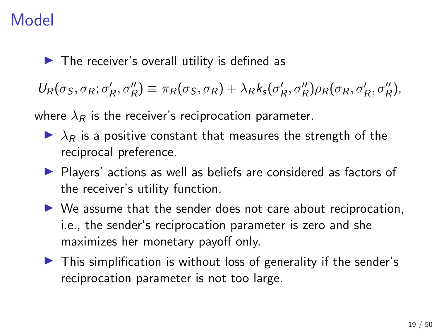$\blacktriangleright$  The receiver's overall utility is defined as

 $U_R(\sigma_S, \sigma_R; \sigma_R', \sigma_R'') \equiv \pi_R(\sigma_S, \sigma_R) + \lambda_R k_s(\sigma_R', \sigma_R'') \rho_R(\sigma_R, \sigma_R', \sigma_R''),$ 

where  $\lambda_R$  is the receiver's reciprocation parameter.

- $\blacktriangleright$   $\lambda_R$  is a positive constant that measures the strength of the reciprocal preference.
- **Players' actions as well as beliefs are considered as factors of** the receiver's utility function.
- $\triangleright$  We assume that the sender does not care about reciprocation, i.e., the sender's reciprocation parameter is zero and she maximizes her monetary payoff only.
- $\triangleright$  This simplification is without loss of generality if the sender's reciprocation parameter is not too large.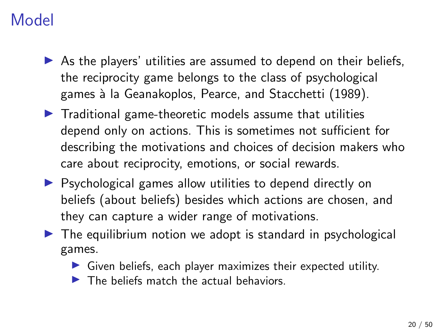- $\triangleright$  As the players' utilities are assumed to depend on their beliefs, the reciprocity game belongs to the class of psychological games à la Geanakoplos, Pearce, and Stacchetti (1989).
- $\blacktriangleright$  Traditional game-theoretic models assume that utilities depend only on actions. This is sometimes not sufficient for describing the motivations and choices of decision makers who care about reciprocity, emotions, or social rewards.
- $\triangleright$  Psychological games allow utilities to depend directly on beliefs (about beliefs) besides which actions are chosen, and they can capture a wider range of motivations.
- $\triangleright$  The equilibrium notion we adopt is standard in psychological games.
	- $\triangleright$  Given beliefs, each player maximizes their expected utility.
	- $\blacktriangleright$  The beliefs match the actual behaviors.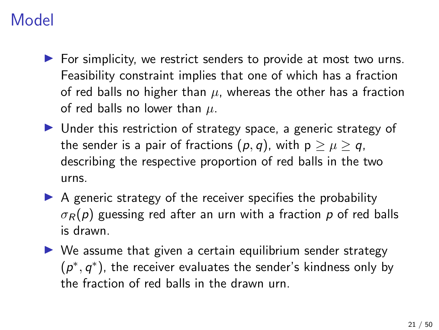- $\blacktriangleright$  For simplicity, we restrict senders to provide at most two urns. Feasibility constraint implies that one of which has a fraction of red balls no higher than  $\mu$ , whereas the other has a fraction of red balls no lower than  $\mu$ .
- $\triangleright$  Under this restriction of strategy space, a generic strategy of the sender is a pair of fractions  $(p, q)$ , with  $p > \mu > q$ , describing the respective proportion of red balls in the two urns.
- $\triangleright$  A generic strategy of the receiver specifies the probability  $\sigma_R(p)$  guessing red after an urn with a fraction p of red balls is drawn.
- $\triangleright$  We assume that given a certain equilibrium sender strategy  $(p^*, q^*)$ , the receiver evaluates the sender's kindness only by the fraction of red balls in the drawn urn.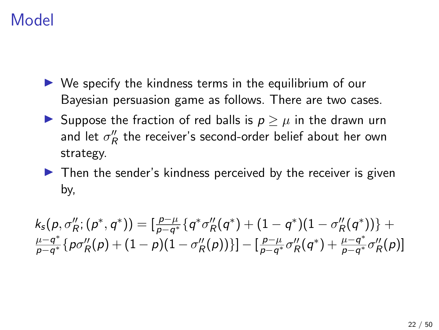- $\triangleright$  We specify the kindness terms in the equilibrium of our Bayesian persuasion game as follows. There are two cases.
- ► Suppose the fraction of red balls is  $p > \mu$  in the drawn urn and let  $\sigma_R''$  the receiver's second-order belief about her own strategy.
- $\blacktriangleright$  Then the sender's kindness perceived by the receiver is given by,

 $k_{{\color{red} {s}}}({\color{red} {p}},{\color{red} {\sigma}}''_R;({\color{red} {p^*}},{\color{red} {q^*}})) = [\frac{{\color{red} {p - {\mu}}} }{{\color{red} {p - {\sigma}^*}}} \{ {\color{red} {q^*}} \sigma''_R({\color{red} {q^*}}) + (1 - {\color{red} {q^*}})(1 - \sigma''_R({\color{red} {q^*}}))\} +$  $\mu - q^*$  $\frac{\mu-q^*}{p-q^*} \{p \sigma_R''(p) + (1-p)(1-\sigma_R''(p))\} ] - [\frac{p-\mu}{p-q^*}]$  $\frac{p-\mu}{p-q^*}\sigma^{\prime\prime}_R(q^*)+\frac{\mu-q^*}{p-q^*}$  $\frac{\mu-q^*}{p-q^*}\sigma_R''(p)]$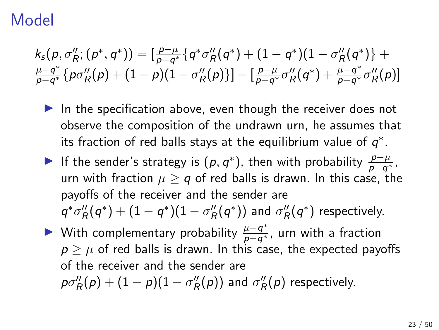$$
\begin{array}{l} \displaystyle k_s(p, \sigma_R''; (p^*,q^*)) = [\frac{p-\mu}{p-q^*} \{ q^* \sigma_R''(q^*) + (1-q^*) (1-\sigma_R''(q^*) \} + \\ \frac{\mu-q^*}{p-q^*} \{ p \sigma_R''(p) + (1-p) (1-\sigma_R''(p) ) \} - [\frac{p-\mu}{p-q^*} \sigma_R''(q^*) + \frac{\mu-q^*}{p-q^*} \sigma_R''(p) ] \end{array}
$$

- In the specification above, even though the receiver does not observe the composition of the undrawn urn, he assumes that its fraction of red balls stays at the equilibrium value of  $q^*$ .
- ► If the sender's strategy is  $(p, q^*)$ , then with probability  $\frac{p-\mu}{p-q^*}$ , urn with fraction  $\mu \geq q$  of red balls is drawn. In this case, the payoffs of the receiver and the sender are  $\mathcal{q}^*\sigma''_R(\mathcal{q}^*) + (1-\mathcal{q}^*)(1-\sigma''_R(\mathcal{q}^*))$  and  $\sigma''_R(\mathcal{q}^*)$  respectively.
- ► With complementary probability  $\frac{\mu-q^*}{n-q^*}$  $\frac{\mu-q^*}{p-q^*}$ , urn with a fraction  $p \geq \mu$  of red balls is drawn. In this case, the expected payoffs of the receiver and the sender are  $p\sigma_R''(p) + (1-p)(1-\sigma_R''(p))$  and  $\sigma_R''(p)$  respectively.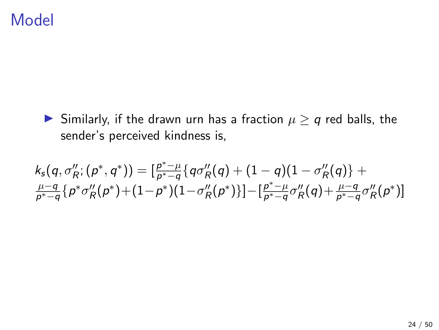► Similarly, if the drawn urn has a fraction  $\mu \ge q$  red balls, the sender's perceived kindness is,

$$
\begin{array}{l} \displaystyle k_s(q, \sigma_R''; (p^*,q^*)) = [\frac{p^*- \mu}{p^*-q} \{ q \sigma_R''(q) + (1-q)(1-\sigma_R''(q)) \} + \\ \frac{\mu-q}{p^*-q} \{ p^* \sigma_R''(p^*) + (1-p^*) (1-\sigma_R''(p^*)) \}] - [\frac{p^*- \mu}{p^*-q} \sigma_R''(q) + \frac{\mu-q}{p^*-q} \sigma_R''(p^*)] \end{array}
$$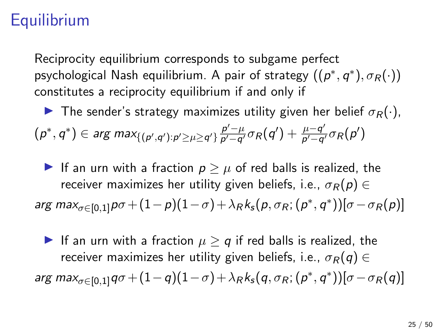Reciprocity equilibrium corresponds to subgame perfect psychological Nash equilibrium. A pair of strategy  $((\rho^*,q^*),\sigma_R(\cdot))$ constitutes a reciprocity equilibrium if and only if

**I** The sender's strategy maximizes utility given her belief  $\sigma_R(\cdot)$ ,  $(\rho^*,q^*)\in\argmax_{\{(\rho',q'): \rho'\geq \mu\geq q'\}}\frac{\rho'-\mu}{\rho'-q'}$  $\frac{p'-\mu}{p'-q'}\sigma_R(q')+\frac{\mu-q'}{p'-q'}$  $\frac{\mu-q'}{\rho'-q'}\sigma_R(\rho')$ 

If an urn with a fraction  $p \geq \mu$  of red balls is realized, the receiver maximizes her utility given beliefs, i.e.,  $\sigma_R(p) \in$ arg ma $\alpha_{\sigma \in [0,1]} p \sigma + (1-p)(1-\sigma) + \lambda_R k_{\mathsf{s}}(\rho, \sigma_R; (\rho^*, q^*)) [\sigma - \sigma_R(\rho)]$ 

If an urn with a fraction  $\mu \ge q$  if red balls is realized, the receiver maximizes her utility given beliefs, i.e.,  $\sigma_R(q) \in$ arg max $_{\sigma \in [0,1]}$ q $\sigma$  +  $(1-q)(1-\sigma)$  +  $\lambda_R k_s (q, \sigma_R; (p^*,q^*)) [\sigma - \sigma_R(q)]$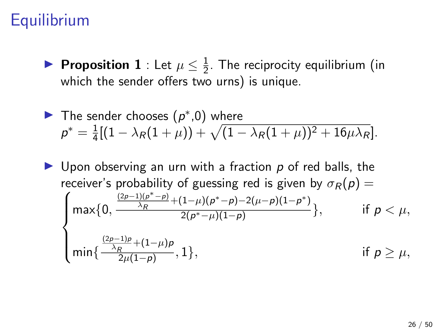Proposition 1 : Let  $\mu \leq \frac{1}{2}$  $\frac{1}{2}$ . The reciprocity equilibrium (in which the sender offers two urns) is unique.

The sender chooses 
$$
(p^*,0)
$$
 where  
\n
$$
p^* = \frac{1}{4}[(1 - \lambda_R(1 + \mu)) + \sqrt{(1 - \lambda_R(1 + \mu))^2 + 16\mu\lambda_R}].
$$

 $\triangleright$  Upon observing an urn with a fraction p of red balls, the receiver's probability of guessing red is given by  $\sqrt{ }$  $\sigma_R(p) =$  $\int$  $\overline{\mathcal{L}}$  $max{0,}$  $(2p-1)(p^* - p)$  $\frac{(\mu_1(\rho^*-\rho)+(1-\mu)(\rho^*-\rho)-2(\mu-\rho)(1-\rho^*)}{\lambda_R}$  $\frac{1}{2(p^*-\mu)(1-p)}$ , if  $p < \mu$ , min{  $\frac{(2p-1)p}{\lambda_R}$ + $(1-\mu)p$  $\frac{R^{(1)}(1-p)}{2\mu(1-p)}, 1$ , if  $p \geq \mu$ ,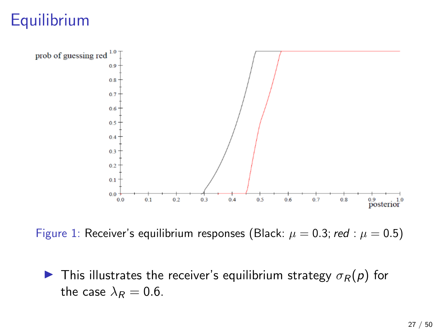

Figure 1: Receiver's equilibrium responses (Black:  $\mu = 0.3$ ; red :  $\mu = 0.5$ )

**I** This illustrates the receiver's equilibrium strategy  $\sigma_R(p)$  for the case  $\lambda_R = 0.6$ .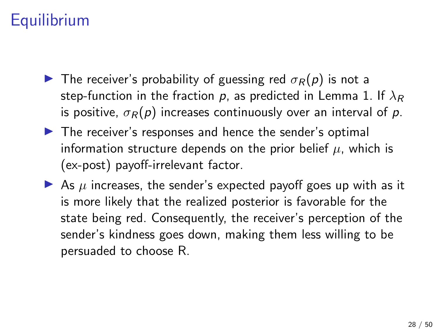- **IF** The receiver's probability of guessing red  $\sigma_R(p)$  is not a step-function in the fraction p, as predicted in Lemma 1. If  $\lambda_R$ is positive,  $\sigma_R(p)$  increases continuously over an interval of p.
- $\triangleright$  The receiver's responses and hence the sender's optimal information structure depends on the prior belief  $\mu$ , which is (ex-post) payoff-irrelevant factor.
- As  $\mu$  increases, the sender's expected payoff goes up with as it is more likely that the realized posterior is favorable for the state being red. Consequently, the receiver's perception of the sender's kindness goes down, making them less willing to be persuaded to choose R.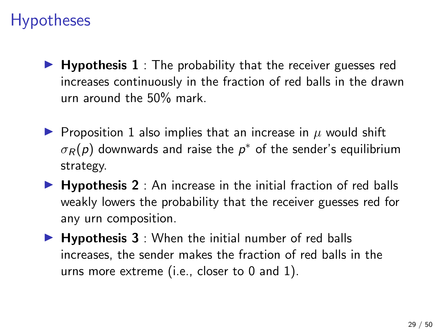- $\blacktriangleright$  Hypothesis 1 : The probability that the receiver guesses red increases continuously in the fraction of red balls in the drawn urn around the 50% mark.
- **Proposition 1 also implies that an increase in**  $\mu$  **would shift**  $\sigma_R(\rho)$  downwards and raise the  $\rho^*$  of the sender's equilibrium strategy.
- $\blacktriangleright$  Hypothesis 2 : An increase in the initial fraction of red balls weakly lowers the probability that the receiver guesses red for any urn composition.
- $\blacktriangleright$  Hypothesis 3 : When the initial number of red balls increases, the sender makes the fraction of red balls in the urns more extreme (i.e., closer to 0 and 1).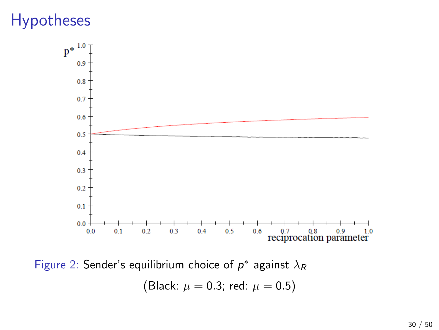

Figure 2: Sender's equilibrium choice of  $p^*$  against  $\lambda_R$ (Black:  $\mu = 0.3$ ; red:  $\mu = 0.5$ )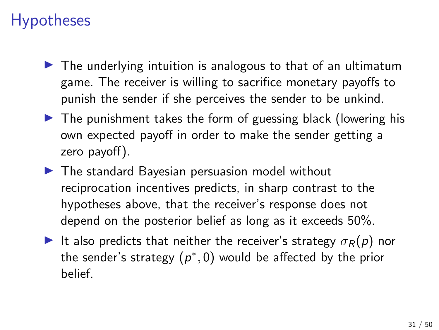- $\triangleright$  The underlying intuition is analogous to that of an ultimatum game. The receiver is willing to sacrifice monetary payoffs to punish the sender if she perceives the sender to be unkind.
- $\triangleright$  The punishment takes the form of guessing black (lowering his own expected payoff in order to make the sender getting a zero payoff).
- $\blacktriangleright$  The standard Bayesian persuasion model without reciprocation incentives predicts, in sharp contrast to the hypotheses above, that the receiver's response does not depend on the posterior belief as long as it exceeds 50%.
- It also predicts that neither the receiver's strategy  $\sigma_R(p)$  nor the sender's strategy  $(p^*,0)$  would be affected by the prior belief.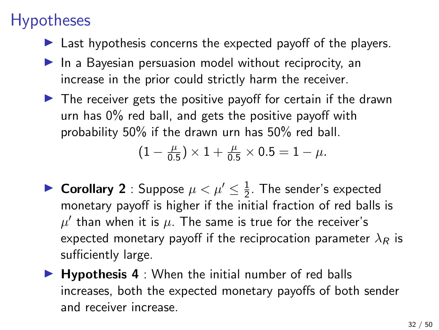- $\blacktriangleright$  Last hypothesis concerns the expected payoff of the players.
- $\blacktriangleright$  In a Bayesian persuasion model without reciprocity, an increase in the prior could strictly harm the receiver.
- $\blacktriangleright$  The receiver gets the positive payoff for certain if the drawn urn has 0% red ball, and gets the positive payoff with probability 50% if the drawn urn has 50% red ball.

$$
(1 - \frac{\mu}{0.5}) \times 1 + \frac{\mu}{0.5} \times 0.5 = 1 - \mu.
$$

- ▶ Corollary 2 : Suppose  $\mu < \mu' \leq \frac{1}{2}$  $\frac{1}{2}$ . The sender's expected monetary payoff is higher if the initial fraction of red balls is  $\mu'$  than when it is  $\mu.$  The same is true for the receiver's expected monetary payoff if the reciprocation parameter  $\lambda_R$  is sufficiently large.
- $\blacktriangleright$  Hypothesis 4 : When the initial number of red balls increases, both the expected monetary payoffs of both sender and receiver increase.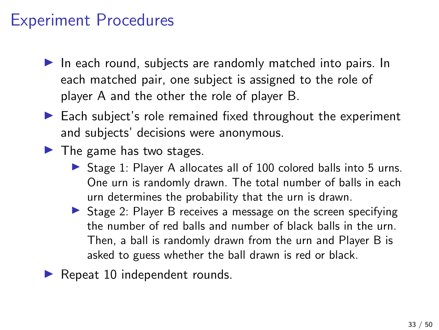### Experiment Procedures

- $\blacktriangleright$  In each round, subjects are randomly matched into pairs. In each matched pair, one subject is assigned to the role of player A and the other the role of player B.
- $\blacktriangleright$  Each subject's role remained fixed throughout the experiment and subjects' decisions were anonymous.
- $\blacktriangleright$  The game has two stages.
	- $\triangleright$  Stage 1: Player A allocates all of 100 colored balls into 5 urns. One urn is randomly drawn. The total number of balls in each urn determines the probability that the urn is drawn.
	- $\triangleright$  Stage 2: Player B receives a message on the screen specifying the number of red balls and number of black balls in the urn. Then, a ball is randomly drawn from the urn and Player B is asked to guess whether the ball drawn is red or black.
- $\blacktriangleright$  Repeat 10 independent rounds.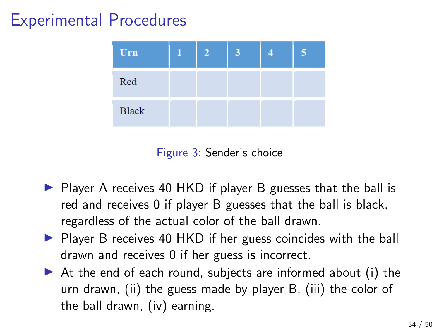## Experimental Procedures

| Urn          | $\overline{2}$ |  |  |
|--------------|----------------|--|--|
| Red          |                |  |  |
| <b>Black</b> |                |  |  |

Figure 3: Sender's choice

- $\triangleright$  Player A receives 40 HKD if player B guesses that the ball is red and receives 0 if player B guesses that the ball is black, regardless of the actual color of the ball drawn.
- $\triangleright$  Player B receives 40 HKD if her guess coincides with the ball drawn and receives 0 if her guess is incorrect.
- $\triangleright$  At the end of each round, subjects are informed about (i) the urn drawn, (ii) the guess made by player B, (iii) the color of the ball drawn, (iv) earning.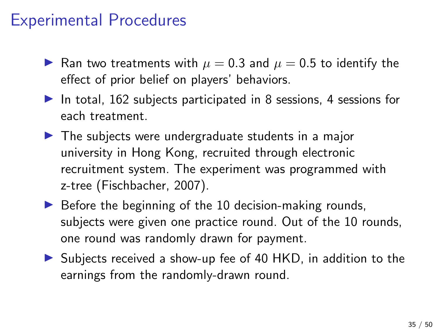### Experimental Procedures

- In Ran two treatments with  $\mu = 0.3$  and  $\mu = 0.5$  to identify the effect of prior belief on players' behaviors.
- In total,  $162$  subjects participated in 8 sessions, 4 sessions for each treatment.
- $\blacktriangleright$  The subjects were undergraduate students in a major university in Hong Kong, recruited through electronic recruitment system. The experiment was programmed with z-tree (Fischbacher, 2007).
- $\triangleright$  Before the beginning of the 10 decision-making rounds, subjects were given one practice round. Out of the 10 rounds, one round was randomly drawn for payment.
- $\triangleright$  Subjects received a show-up fee of 40 HKD, in addition to the earnings from the randomly-drawn round.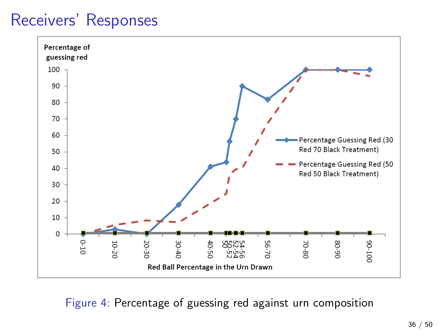

Figure 4: Percentage of guessing red against urn composition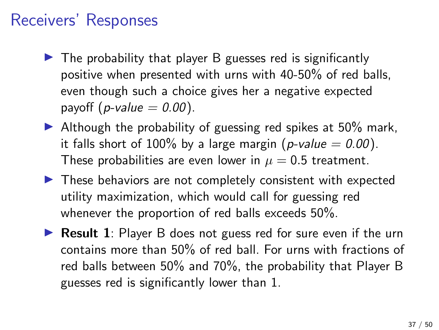- $\triangleright$  The probability that player B guesses red is significantly positive when presented with urns with 40-50% of red balls, even though such a choice gives her a negative expected payoff (*p*-value  $= 0.00$ ).
- $\blacktriangleright$  Although the probability of guessing red spikes at 50% mark, it falls short of 100% by a large margin (p-value  $= 0.00$ ). These probabilities are even lower in  $\mu = 0.5$  treatment.
- $\blacktriangleright$  These behaviors are not completely consistent with expected utility maximization, which would call for guessing red whenever the proportion of red balls exceeds 50%.
- **Result 1**: Player B does not guess red for sure even if the urn contains more than 50% of red ball. For urns with fractions of red balls between 50% and 70%, the probability that Player B guesses red is significantly lower than 1.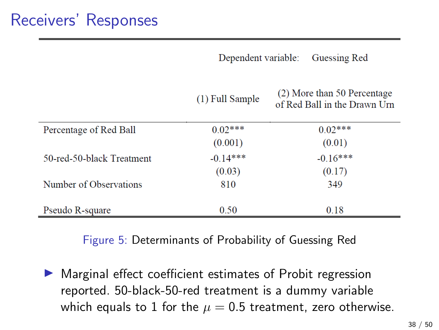Dependent variable: Guessing Red

|  | (1) Full Sample |  |
|--|-----------------|--|
|  |                 |  |

(2) More than 50 Percentage of Red Ball in the Drawn Urn

| Percentage of Red Ball    | $0.02***$  | $0.02***$  |  |
|---------------------------|------------|------------|--|
|                           | (0.001)    | (0.01)     |  |
| 50-red-50-black Treatment | $-0.14***$ | $-0.16***$ |  |
|                           | (0.03)     | (0.17)     |  |
| Number of Observations    | 810        | 349        |  |
|                           |            |            |  |
| Pseudo R-square           | 0.50       | 0.18       |  |

Figure 5: Determinants of Probability of Guessing Red

 $\triangleright$  Marginal effect coefficient estimates of Probit regression reported. 50-black-50-red treatment is a dummy variable which equals to 1 for the  $\mu = 0.5$  treatment, zero otherwise.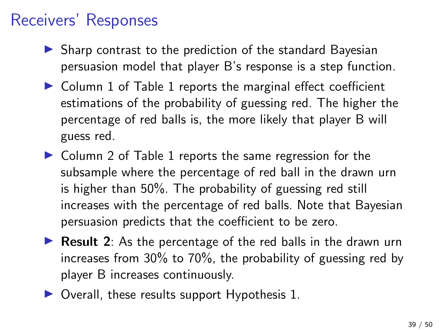- $\triangleright$  Sharp contrast to the prediction of the standard Bayesian persuasion model that player B's response is a step function.
- $\triangleright$  Column 1 of Table 1 reports the marginal effect coefficient estimations of the probability of guessing red. The higher the percentage of red balls is, the more likely that player B will guess red.
- $\triangleright$  Column 2 of Table 1 reports the same regression for the subsample where the percentage of red ball in the drawn urn is higher than 50%. The probability of guessing red still increases with the percentage of red balls. Note that Bayesian persuasion predicts that the coefficient to be zero.
- **Result 2:** As the percentage of the red balls in the drawn urn increases from 30% to 70%, the probability of guessing red by player B increases continuously.
- $\triangleright$  Overall, these results support Hypothesis 1.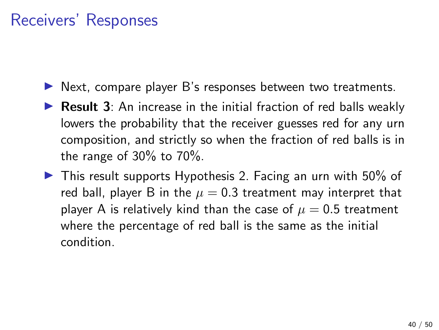- $\blacktriangleright$  Next, compare player B's responses between two treatments.
- $\triangleright$  Result 3: An increase in the initial fraction of red balls weakly lowers the probability that the receiver guesses red for any urn composition, and strictly so when the fraction of red balls is in the range of 30% to 70%.
- $\triangleright$  This result supports Hypothesis 2. Facing an urn with 50% of red ball, player B in the  $\mu = 0.3$  treatment may interpret that player A is relatively kind than the case of  $\mu = 0.5$  treatment where the percentage of red ball is the same as the initial condition.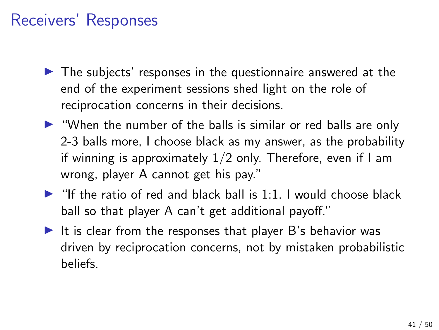- $\triangleright$  The subjects' responses in the questionnaire answered at the end of the experiment sessions shed light on the role of reciprocation concerns in their decisions.
- $\triangleright$  "When the number of the balls is similar or red balls are only 2-3 balls more, I choose black as my answer, as the probability if winning is approximately 1/2 only. Therefore, even if I am wrong, player A cannot get his pay."
- $\blacktriangleright$  "If the ratio of red and black ball is 1:1. I would choose black ball so that player A can't get additional payoff."
- It is clear from the responses that player  $B$ 's behavior was driven by reciprocation concerns, not by mistaken probabilistic beliefs.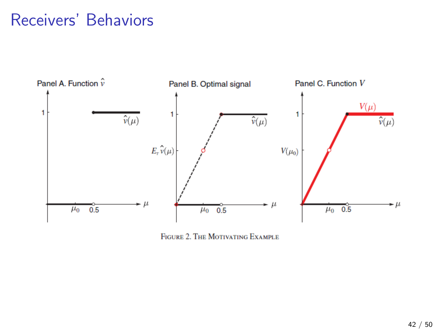### Receivers' Behaviors



FIGURE 2. THE MOTIVATING EXAMPLE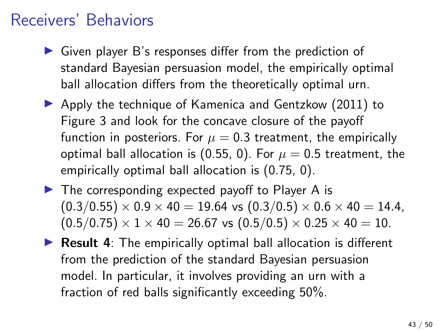### Receivers' Behaviors

- $\triangleright$  Given player B's responses differ from the prediction of standard Bayesian persuasion model, the empirically optimal ball allocation differs from the theoretically optimal urn.
- $\blacktriangleright$  Apply the technique of Kamenica and Gentzkow (2011) to Figure 3 and look for the concave closure of the payoff function in posteriors. For  $\mu = 0.3$  treatment, the empirically optimal ball allocation is (0.55, 0). For  $\mu = 0.5$  treatment, the empirically optimal ball allocation is (0.75, 0).
- $\blacktriangleright$  The corresponding expected payoff to Player A is  $(0.3/0.55) \times 0.9 \times 40 = 19.64$  vs  $(0.3/0.5) \times 0.6 \times 40 = 14.4$ ,  $(0.5/0.75) \times 1 \times 40 = 26.67$  vs  $(0.5/0.5) \times 0.25 \times 40 = 10$ .
- $\triangleright$  Result 4: The empirically optimal ball allocation is different from the prediction of the standard Bayesian persuasion model. In particular, it involves providing an urn with a fraction of red balls significantly exceeding 50%.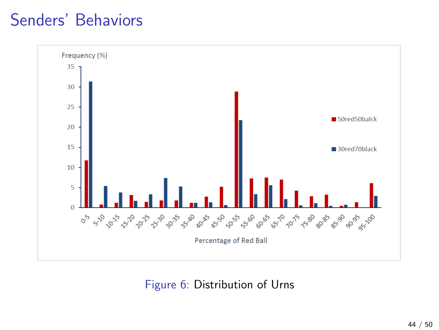

Figure 6: Distribution of Urns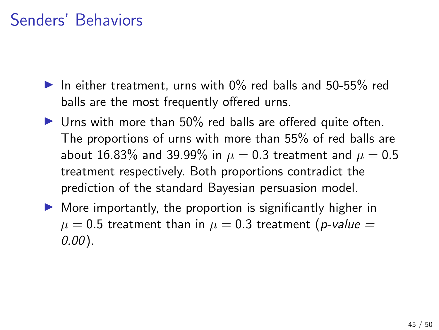- In either treatment, urns with  $0\%$  red balls and 50-55% red balls are the most frequently offered urns.
- $\triangleright$  Urns with more than 50% red balls are offered quite often. The proportions of urns with more than 55% of red balls are about 16.83% and 39.99% in  $\mu = 0.3$  treatment and  $\mu = 0.5$ treatment respectively. Both proportions contradict the prediction of the standard Bayesian persuasion model.
- $\triangleright$  More importantly, the proportion is significantly higher in  $\mu = 0.5$  treatment than in  $\mu = 0.3$  treatment (p-value = 0.00).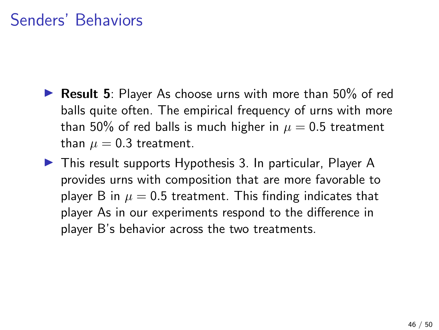- **In Result 5:** Player As choose urns with more than  $50\%$  of red balls quite often. The empirical frequency of urns with more than 50% of red balls is much higher in  $\mu = 0.5$  treatment than  $\mu = 0.3$  treatment.
- $\triangleright$  This result supports Hypothesis 3. In particular, Player A provides urns with composition that are more favorable to player B in  $\mu = 0.5$  treatment. This finding indicates that player As in our experiments respond to the difference in player B's behavior across the two treatments.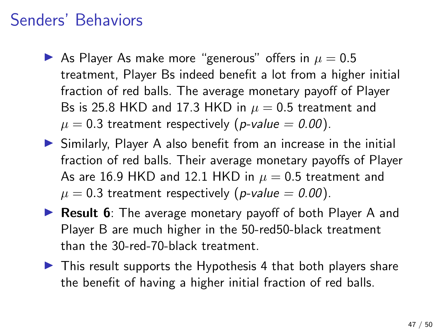- As Player As make more "generous" offers in  $\mu = 0.5$ treatment, Player Bs indeed benefit a lot from a higher initial fraction of red balls. The average monetary payoff of Player Bs is 25.8 HKD and 17.3 HKD in  $\mu = 0.5$  treatment and  $\mu = 0.3$  treatment respectively (*p*-value = 0.00).
- $\triangleright$  Similarly, Player A also benefit from an increase in the initial fraction of red balls. Their average monetary payoffs of Player As are 16.9 HKD and 12.1 HKD in  $\mu = 0.5$  treatment and  $\mu = 0.3$  treatment respectively (*p-value = 0.00*).
- ▶ Result 6: The average monetary payoff of both Player A and Player B are much higher in the 50-red50-black treatment than the 30-red-70-black treatment.
- $\triangleright$  This result supports the Hypothesis 4 that both players share the benefit of having a higher initial fraction of red balls.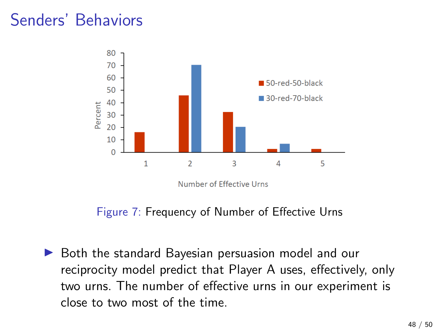

Figure 7: Frequency of Number of Effective Urns

 $\triangleright$  Both the standard Bayesian persuasion model and our reciprocity model predict that Player A uses, effectively, only two urns. The number of effective urns in our experiment is close to two most of the time.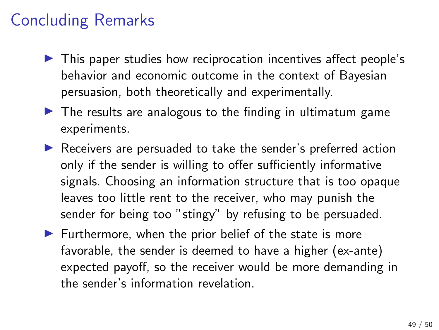# Concluding Remarks

- $\blacktriangleright$  This paper studies how reciprocation incentives affect people's behavior and economic outcome in the context of Bayesian persuasion, both theoretically and experimentally.
- $\triangleright$  The results are analogous to the finding in ultimatum game experiments.
- $\blacktriangleright$  Receivers are persuaded to take the sender's preferred action only if the sender is willing to offer sufficiently informative signals. Choosing an information structure that is too opaque leaves too little rent to the receiver, who may punish the sender for being too "stingy" by refusing to be persuaded.
- $\blacktriangleright$  Furthermore, when the prior belief of the state is more favorable, the sender is deemed to have a higher (ex-ante) expected payoff, so the receiver would be more demanding in the sender's information revelation.